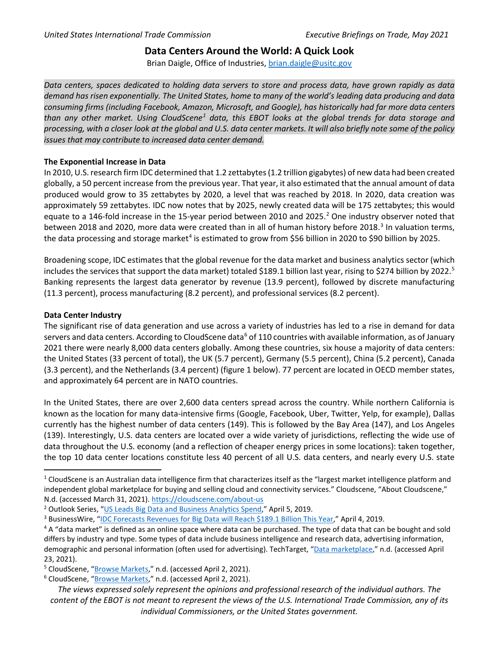## **Data Centers Around the World: A Quick Look**

Brian Daigle, Office of Industries, [brian.daigle@usitc.gov](mailto:brian.daigle@usitc.gov)

*Data centers, spaces dedicated to holding data servers to store and process data, have grown rapidly as data demand has risen exponentially. The United States, home to many of the world's leading data producing and data consuming firms (including Facebook, Amazon, Microsoft, and Google), has historically had far more data centers than any other market. Using CloudScene[1](#page-1-0) data, this EBOT looks at the global trends for data storage and processing, with a closer look at the global and U.S. data center markets. It will also briefly note some of the policy issues that may contribute to increased data center demand.*

## **The Exponential Increase in Data**

In 2010, U.S. research firm IDC determined that 1.2 zettabytes (1.2 trillion gigabytes) of new data had been created globally, a 50 percent increase from the previous year. That year, it also estimated that the annual amount of data produced would grow to 35 zettabytes by 2020, a level that was reached by 2018. In 2020, data creation was approximately 59 zettabytes. IDC now notes that by 2025, newly created data will be 175 zettabytes; this would equate to a 146-fold increase in the 15-year period between [2](#page-0-0)010 and 2025.<sup>2</sup> One industry observer noted that between 2018 and 2020, more data were created than in all of human history before 2018.<sup>[3](#page-0-1)</sup> In valuation terms, the data processing and storage market<sup>[4](#page-0-2)</sup> is estimated to grow from \$56 billion in 2020 to \$90 billion by 2025.

Broadening scope, IDC estimates that the global revenue for the data market and business analytics sector (which includes the services that support the data market) totaled \$189.1 billion last year, rising to \$274 billion by 2022.<sup>[5](#page-0-3)</sup> Banking represents the largest data generator by revenue (13.9 percent), followed by discrete manufacturing (11.3 percent), process manufacturing (8.2 percent), and professional services (8.2 percent).

## **Data Center Industry**

The significant rise of data generation and use across a variety of industries has led to a rise in demand for data servers and data centers. According to CloudScene data<sup>[6](#page-0-4)</sup> of 110 countries with available information, as of January 2021 there were nearly 8,000 data centers globally. Among these countries, six house a majority of data centers: the United States (33 percent of total), the UK (5.7 percent), Germany (5.5 percent), China (5.2 percent), Canada (3.3 percent), and the Netherlands (3.4 percent) (figure 1 below). 77 percent are located in OECD member states, and approximately 64 percent are in NATO countries.

In the United States, there are over 2,600 data centers spread across the country. While northern California is known as the location for many data-intensive firms (Google, Facebook, Uber, Twitter, Yelp, for example), Dallas currently has the highest number of data centers (149). This is followed by the Bay Area (147), and Los Angeles (139). Interestingly, U.S. data centers are located over a wide variety of jurisdictions, reflecting the wide use of data throughout the U.S. economy (and a reflection of cheaper energy prices in some locations): taken together, the top 10 data center locations constitute less 40 percent of all U.S. data centers, and nearly every U.S. state

 $1$  CloudScene is an Australian data intelligence firm that characterizes itself as the "largest market intelligence platform and independent global marketplace for buying and selling cloud and connectivity services." Cloudscene, "About Cloudscene," N.d. (accessed March 31, 2021).<https://cloudscene.com/about-us>

<span id="page-0-1"></span><span id="page-0-0"></span><sup>&</sup>lt;sup>2</sup> Outlook Series, "<u>US Leads Big Data and Business Analytics Spend</u>," April 5, 2019.<br><sup>3</sup> BusinessWire, "<u>IDC Forecasts Revenues for Big Data will Reach \$189.1 Billion This Year," April 4, 2019.</u>

<span id="page-0-2"></span> $4A$  "data market" is defined as an online space where data can be purchased. The type of data that can be bought and sold differs by industry and type. Some types of data include business intelligence and research data, advertising information, demographic and personal information (often used for advertising). TechTarget, ["Data marketplace,"](https://whatis.techtarget.com/definition/data-marketplace-data-market#:%7E:text=A%20data%20marketplace%20or%20data%20market%20is%20an,advertising%2C%20demographics%2C%20personal%20information%2C%20research%20and%20market%20data.) n.d. (accessed April 23, 2021).

<span id="page-0-4"></span><span id="page-0-3"></span><sup>&</sup>lt;sup>5</sup> CloudScene, "**Browse Markets,"** n.d. (accessed April 2, 2021).<br><sup>6</sup> CloudScene, ["Browse Markets,](https://cloudscene.com/browse/markets)" n.d. (accessed April 2, 2021).

*The views expressed solely represent the opinions and professional research of the individual authors. The content of the EBOT is not meant to represent the views of the U.S. International Trade Commission, any of its individual Commissioners, or the United States government.*